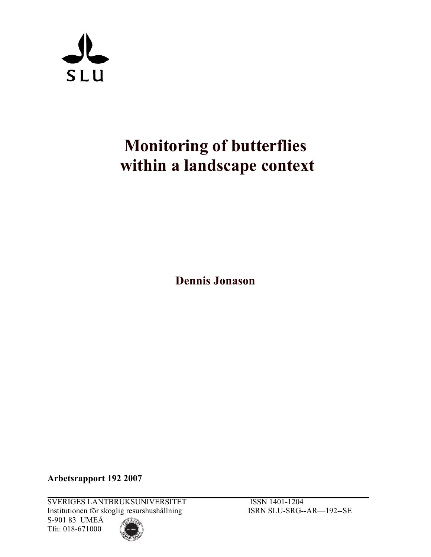

# **Monitoring of butterflies within a landscape context**

**Dennis Jonason** 

**Arbetsrapport 192 2007** 

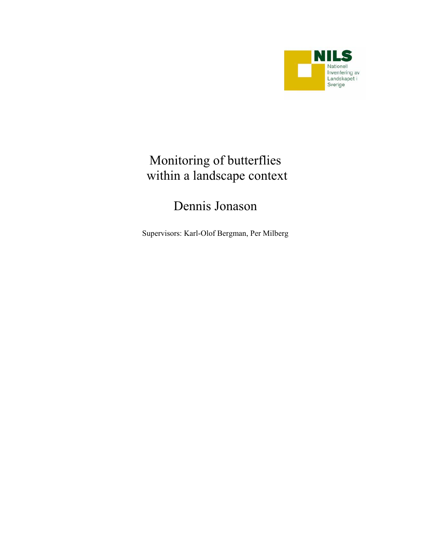

# Monitoring of butterflies within a landscape context

# Dennis Jonason

Supervisors: Karl-Olof Bergman, Per Milberg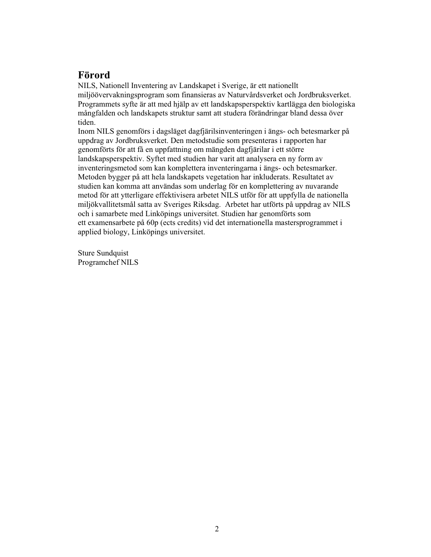## **Förord**

NILS, Nationell Inventering av Landskapet i Sverige, är ett nationellt miljöövervakningsprogram som finansieras av Naturvårdsverket och Jordbruksverket. Programmets syfte är att med hjälp av ett landskapsperspektiv kartlägga den biologiska mångfalden och landskapets struktur samt att studera förändringar bland dessa över tiden.

Inom NILS genomförs i dagsläget dagfjärilsinventeringen i ängs- och betesmarker på uppdrag av Jordbruksverket. Den metodstudie som presenteras i rapporten har genomförts för att få en uppfattning om mängden dagfjärilar i ett större landskapsperspektiv. Syftet med studien har varit att analysera en ny form av inventeringsmetod som kan komplettera inventeringarna i ängs- och betesmarker. Metoden bygger på att hela landskapets vegetation har inkluderats. Resultatet av studien kan komma att användas som underlag för en komplettering av nuvarande metod för att ytterligare effektivisera arbetet NILS utför för att uppfylla de nationella miljökvallitetsmål satta av Sveriges Riksdag. Arbetet har utförts på uppdrag av NILS och i samarbete med Linköpings universitet. Studien har genomförts som ett examensarbete på 60p (ects credits) vid det internationella mastersprogrammet i applied biology, Linköpings universitet.

Sture Sundquist Programchef NILS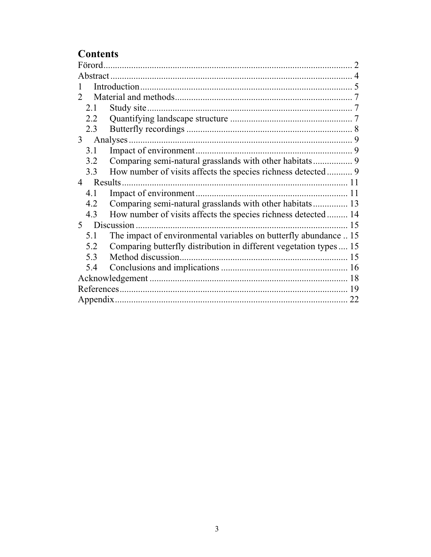# **Contents**

| Förord.                                                                   |    |
|---------------------------------------------------------------------------|----|
|                                                                           |    |
|                                                                           |    |
|                                                                           |    |
| 2.1                                                                       |    |
| 2.2                                                                       |    |
| 2.3                                                                       |    |
| 3                                                                         |    |
| 3.1                                                                       |    |
| Comparing semi-natural grasslands with other habitats 9<br>3.2            |    |
| How number of visits affects the species richness detected 9<br>3.3       |    |
| Results.<br>$\overline{4}$                                                |    |
| 4.1                                                                       |    |
| Comparing semi-natural grasslands with other habitats 13<br>4.2           |    |
| How number of visits affects the species richness detected 14<br>4.3      |    |
| Discussion.<br>5 <sup>1</sup>                                             | 15 |
| The impact of environmental variables on butterfly abundance  15<br>5.1   |    |
| Comparing butterfly distribution in different vegetation types  15<br>5.2 |    |
| 5.3                                                                       |    |
| 5.4                                                                       |    |
|                                                                           |    |
|                                                                           | 19 |
|                                                                           | 22 |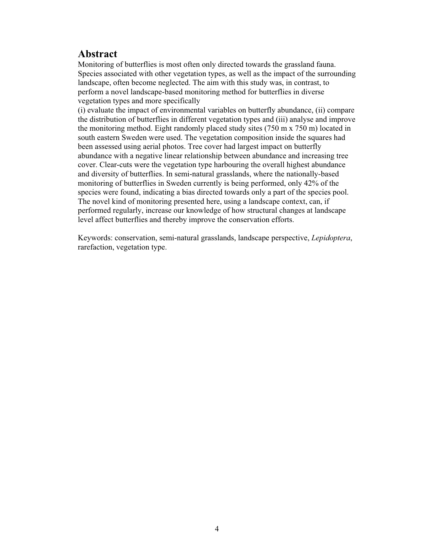#### **Abstract**

Monitoring of butterflies is most often only directed towards the grassland fauna. Species associated with other vegetation types, as well as the impact of the surrounding landscape, often become neglected. The aim with this study was, in contrast, to perform a novel landscape-based monitoring method for butterflies in diverse vegetation types and more specifically

(i) evaluate the impact of environmental variables on butterfly abundance, (ii) compare the distribution of butterflies in different vegetation types and (iii) analyse and improve the monitoring method. Eight randomly placed study sites (750 m x 750 m) located in south eastern Sweden were used. The vegetation composition inside the squares had been assessed using aerial photos. Tree cover had largest impact on butterfly abundance with a negative linear relationship between abundance and increasing tree cover. Clear-cuts were the vegetation type harbouring the overall highest abundance and diversity of butterflies. In semi-natural grasslands, where the nationally-based monitoring of butterflies in Sweden currently is being performed, only 42% of the species were found, indicating a bias directed towards only a part of the species pool. The novel kind of monitoring presented here, using a landscape context, can, if performed regularly, increase our knowledge of how structural changes at landscape level affect butterflies and thereby improve the conservation efforts.

Keywords: conservation, semi-natural grasslands, landscape perspective, *Lepidoptera*, rarefaction, vegetation type.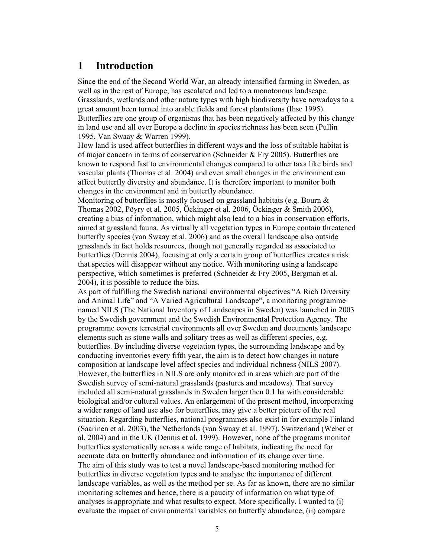#### **1 Introduction**

Since the end of the Second World War, an already intensified farming in Sweden, as well as in the rest of Europe, has escalated and led to a monotonous landscape. Grasslands, wetlands and other nature types with high biodiversity have nowadays to a great amount been turned into arable fields and forest plantations (Ihse 1995). Butterflies are one group of organisms that has been negatively affected by this change in land use and all over Europe a decline in species richness has been seen (Pullin 1995, Van Swaay & Warren 1999).

How land is used affect butterflies in different ways and the loss of suitable habitat is of major concern in terms of conservation (Schneider & Fry 2005). Butterflies are known to respond fast to environmental changes compared to other taxa like birds and vascular plants (Thomas et al. 2004) and even small changes in the environment can affect butterfly diversity and abundance. It is therefore important to monitor both changes in the environment and in butterfly abundance.

Monitoring of butterflies is mostly focused on grassland habitats (e.g. Bourn & Thomas 2002, Pöyry et al. 2005, Öckinger et al. 2006, Öckinger & Smith 2006), creating a bias of information, which might also lead to a bias in conservation efforts, aimed at grassland fauna. As virtually all vegetation types in Europe contain threatened butterfly species (van Swaay et al. 2006) and as the overall landscape also outside grasslands in fact holds resources, though not generally regarded as associated to butterflies (Dennis 2004), focusing at only a certain group of butterflies creates a risk that species will disappear without any notice. With monitoring using a landscape perspective, which sometimes is preferred (Schneider & Fry 2005, Bergman et al. 2004), it is possible to reduce the bias.

As part of fulfilling the Swedish national environmental objectives "A Rich Diversity and Animal Life" and "A Varied Agricultural Landscape", a monitoring programme named NILS (The National Inventory of Landscapes in Sweden) was launched in 2003 by the Swedish government and the Swedish Environmental Protection Agency. The programme covers terrestrial environments all over Sweden and documents landscape elements such as stone walls and solitary trees as well as different species, e.g. butterflies. By including diverse vegetation types, the surrounding landscape and by conducting inventories every fifth year, the aim is to detect how changes in nature composition at landscape level affect species and individual richness (NILS 2007). However, the butterflies in NILS are only monitored in areas which are part of the Swedish survey of semi-natural grasslands (pastures and meadows). That survey included all semi-natural grasslands in Sweden larger then 0.1 ha with considerable biological and/or cultural values. An enlargement of the present method, incorporating a wider range of land use also for butterflies, may give a better picture of the real situation. Regarding butterflies, national programmes also exist in for example Finland (Saarinen et al. 2003), the Netherlands (van Swaay et al. 1997), Switzerland (Weber et al. 2004) and in the UK (Dennis et al. 1999). However, none of the programs monitor butterflies systematically across a wide range of habitats, indicating the need for accurate data on butterfly abundance and information of its change over time. The aim of this study was to test a novel landscape-based monitoring method for butterflies in diverse vegetation types and to analyse the importance of different landscape variables, as well as the method per se. As far as known, there are no similar monitoring schemes and hence, there is a paucity of information on what type of analyses is appropriate and what results to expect. More specifically, I wanted to (i) evaluate the impact of environmental variables on butterfly abundance, (ii) compare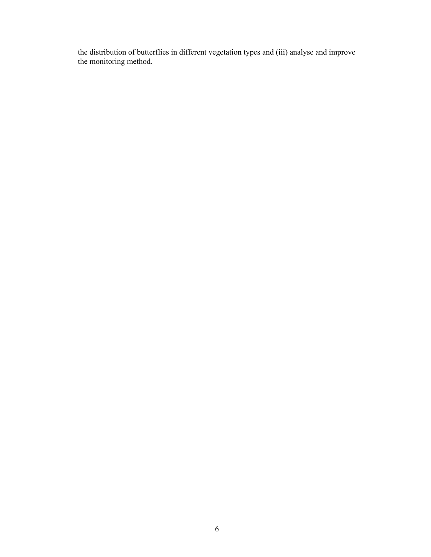the distribution of butterflies in different vegetation types and (iii) analyse and improve the monitoring method.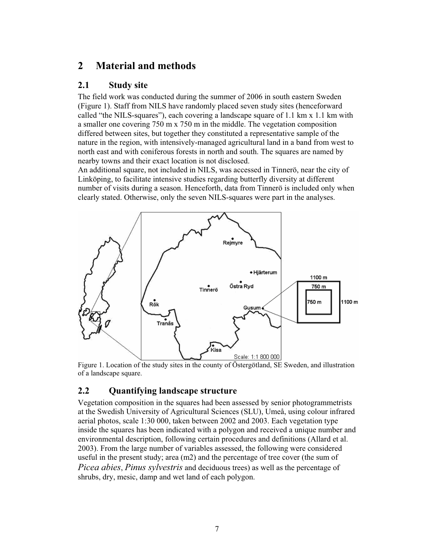### **2 Material and methods**

#### **2.1 Study site**

The field work was conducted during the summer of 2006 in south eastern Sweden (Figure 1). Staff from NILS have randomly placed seven study sites (henceforward called "the NILS-squares"), each covering a landscape square of 1.1 km x 1.1 km with a smaller one covering 750 m x 750 m in the middle. The vegetation composition differed between sites, but together they constituted a representative sample of the nature in the region, with intensively-managed agricultural land in a band from west to north east and with coniferous forests in north and south. The squares are named by nearby towns and their exact location is not disclosed.

An additional square, not included in NILS, was accessed in Tinnerö, near the city of Linköping, to facilitate intensive studies regarding butterfly diversity at different number of visits during a season. Henceforth, data from Tinnerö is included only when clearly stated. Otherwise, only the seven NILS-squares were part in the analyses.



Figure 1. Location of the study sites in the county of Östergötland, SE Sweden, and illustration of a landscape square.

#### **2.2 Quantifying landscape structure**

Vegetation composition in the squares had been assessed by senior photogrammetrists at the Swedish University of Agricultural Sciences (SLU), Umeå, using colour infrared aerial photos, scale 1:30 000, taken between 2002 and 2003. Each vegetation type inside the squares has been indicated with a polygon and received a unique number and environmental description, following certain procedures and definitions (Allard et al. 2003). From the large number of variables assessed, the following were considered useful in the present study; area (m2) and the percentage of tree cover (the sum of *Picea abies*, *Pinus sylvestris* and deciduous trees) as well as the percentage of shrubs, dry, mesic, damp and wet land of each polygon.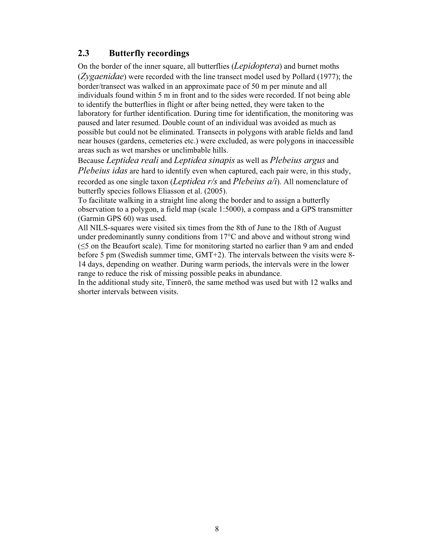#### **2.3 Butterfly recordings**

On the border of the inner square, all butterflies (*Lepidoptera*) and burnet moths (*Zygaenidae*) were recorded with the line transect model used by Pollard (1977); the border/transect was walked in an approximate pace of 50 m per minute and all individuals found within 5 m in front and to the sides were recorded. If not being able to identify the butterflies in flight or after being netted, they were taken to the laboratory for further identification. During time for identification, the monitoring was paused and later resumed. Double count of an individual was avoided as much as possible but could not be eliminated. Transects in polygons with arable fields and land near houses (gardens, cemeteries etc.) were excluded, as were polygons in inaccessible areas such as wet marshes or unclimbable hills.

Because *Leptidea reali* and *Leptidea sinapis* as well as *Plebeius argus* and *Plebeius idas* are hard to identify even when captured, each pair were, in this study, recorded as one single taxon (*Leptidea r/s* and *Plebeius a/i*). All nomenclature of butterfly species follows Eliasson et al. (2005).

To facilitate walking in a straight line along the border and to assign a butterfly observation to a polygon, a field map (scale 1:5000), a compass and a GPS transmitter (Garmin GPS 60) was used.

All NILS-squares were visited six times from the 8th of June to the 18th of August under predominantly sunny conditions from 17°C and above and without strong wind  $(\leq)$  on the Beaufort scale). Time for monitoring started no earlier than 9 am and ended before 5 pm (Swedish summer time, GMT+2). The intervals between the visits were 8- 14 days, depending on weather. During warm periods, the intervals were in the lower range to reduce the risk of missing possible peaks in abundance.

In the additional study site, Tinnerö, the same method was used but with 12 walks and shorter intervals between visits.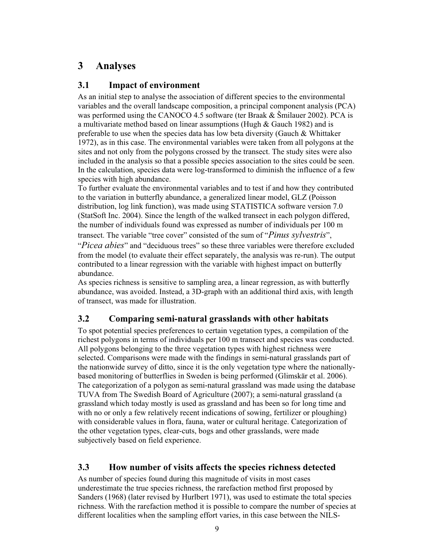# **3 Analyses**

#### **3.1 Impact of environment**

As an initial step to analyse the association of different species to the environmental variables and the overall landscape composition, a principal component analysis (PCA) was performed using the CANOCO 4.5 software (ter Braak & Šmilauer 2002). PCA is a multivariate method based on linear assumptions (Hugh & Gauch 1982) and is preferable to use when the species data has low beta diversity (Gauch & Whittaker 1972), as in this case. The environmental variables were taken from all polygons at the sites and not only from the polygons crossed by the transect. The study sites were also included in the analysis so that a possible species association to the sites could be seen. In the calculation, species data were log-transformed to diminish the influence of a few species with high abundance.

To further evaluate the environmental variables and to test if and how they contributed to the variation in butterfly abundance, a generalized linear model, GLZ (Poisson distribution, log link function), was made using STATISTICA software version 7.0 (StatSoft Inc. 2004). Since the length of the walked transect in each polygon differed, the number of individuals found was expressed as number of individuals per 100 m transect. The variable "tree cover" consisted of the sum of "*Pinus sylvestris*",

"*Picea abies*" and "deciduous trees" so these three variables were therefore excluded from the model (to evaluate their effect separately, the analysis was re-run). The output contributed to a linear regression with the variable with highest impact on butterfly abundance.

As species richness is sensitive to sampling area, a linear regression, as with butterfly abundance, was avoided. Instead, a 3D-graph with an additional third axis, with length of transect, was made for illustration.

#### **3.2 Comparing semi-natural grasslands with other habitats**

To spot potential species preferences to certain vegetation types, a compilation of the richest polygons in terms of individuals per 100 m transect and species was conducted. All polygons belonging to the three vegetation types with highest richness were selected. Comparisons were made with the findings in semi-natural grasslands part of the nationwide survey of ditto, since it is the only vegetation type where the nationallybased monitoring of butterflies in Sweden is being performed (Glimskär et al. 2006). The categorization of a polygon as semi-natural grassland was made using the database TUVA from The Swedish Board of Agriculture (2007); a semi-natural grassland (a grassland which today mostly is used as grassland and has been so for long time and with no or only a few relatively recent indications of sowing, fertilizer or ploughing) with considerable values in flora, fauna, water or cultural heritage. Categorization of the other vegetation types, clear-cuts, bogs and other grasslands, were made subjectively based on field experience.

#### **3.3 How number of visits affects the species richness detected**

As number of species found during this magnitude of visits in most cases underestimate the true species richness, the rarefaction method first proposed by Sanders (1968) (later revised by Hurlbert 1971), was used to estimate the total species richness. With the rarefaction method it is possible to compare the number of species at different localities when the sampling effort varies, in this case between the NILS-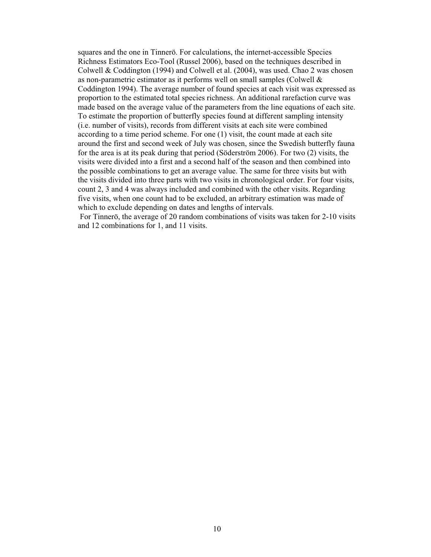squares and the one in Tinnerö. For calculations, the internet-accessible Species Richness Estimators Eco-Tool (Russel 2006), based on the techniques described in Colwell & Coddington (1994) and Colwell et al. (2004), was used. Chao 2 was chosen as non-parametric estimator as it performs well on small samples (Colwell & Coddington 1994). The average number of found species at each visit was expressed as proportion to the estimated total species richness. An additional rarefaction curve was made based on the average value of the parameters from the line equations of each site. To estimate the proportion of butterfly species found at different sampling intensity (i.e. number of visits), records from different visits at each site were combined according to a time period scheme. For one (1) visit, the count made at each site around the first and second week of July was chosen, since the Swedish butterfly fauna for the area is at its peak during that period (Söderström 2006). For two (2) visits, the visits were divided into a first and a second half of the season and then combined into the possible combinations to get an average value. The same for three visits but with the visits divided into three parts with two visits in chronological order. For four visits, count 2, 3 and 4 was always included and combined with the other visits. Regarding five visits, when one count had to be excluded, an arbitrary estimation was made of which to exclude depending on dates and lengths of intervals.

 For Tinnerö, the average of 20 random combinations of visits was taken for 2-10 visits and 12 combinations for 1, and 11 visits.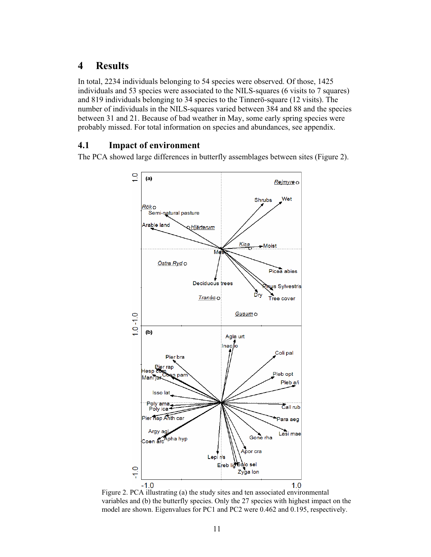### **4 Results**

In total, 2234 individuals belonging to 54 species were observed. Of those, 1425 individuals and 53 species were associated to the NILS-squares (6 visits to 7 squares) and 819 individuals belonging to 34 species to the Tinnerö-square (12 visits). The number of individuals in the NILS-squares varied between 384 and 88 and the species between 31 and 21. Because of bad weather in May, some early spring species were probably missed. For total information on species and abundances, see appendix.

#### **4.1 Impact of environment**

The PCA showed large differences in butterfly assemblages between sites (Figure 2).



Figure 2. PCA illustrating (a) the study sites and ten associated environmental variables and (b) the butterfly species. Only the 27 species with highest impact on the model are shown. Eigenvalues for PC1 and PC2 were 0.462 and 0.195, respectively.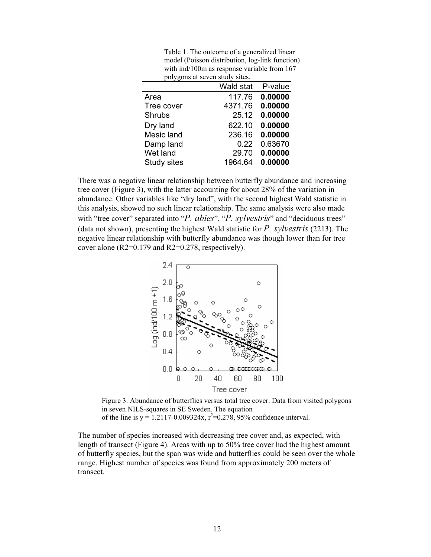Table 1. The outcome of a generalized linear model (Poisson distribution, log-link function) with ind/100m as response variable from 167 polygons at seven study sites.

|               | Wald stat | P-value |
|---------------|-----------|---------|
| Area          | 117.76    | 0.00000 |
| Tree cover    | 4371.76   | 0.00000 |
| <b>Shrubs</b> | 25.12     | 0.00000 |
| Dry land      | 622.10    | 0.00000 |
| Mesic land    | 236.16    | 0.00000 |
| Damp land     | 0.22      | 0.63670 |
| Wet land      | 29.70     | 0.00000 |
| Study sites   | 1964.64   | 0.00000 |

There was a negative linear relationship between butterfly abundance and increasing tree cover (Figure 3), with the latter accounting for about 28% of the variation in abundance. Other variables like "dry land", with the second highest Wald statistic in this analysis, showed no such linear relationship. The same analysis were also made with "tree cover" separated into "*P. abies*", "*P. sylvestris*" and "deciduous trees" (data not shown), presenting the highest Wald statistic for *P. sylvestris* (2213). The negative linear relationship with butterfly abundance was though lower than for tree cover alone (R2=0.179 and R2=0.278, respectively).



Figure 3. Abundance of butterflies versus total tree cover. Data from visited polygons in seven NILS-squares in SE Sweden. The equation of the line is  $y = 1.2117 - 0.009324x$ ,  $r^2 = 0.278$ , 95% confidence interval.

The number of species increased with decreasing tree cover and, as expected, with length of transect (Figure 4). Areas with up to 50% tree cover had the highest amount of butterfly species, but the span was wide and butterflies could be seen over the whole range. Highest number of species was found from approximately 200 meters of transect.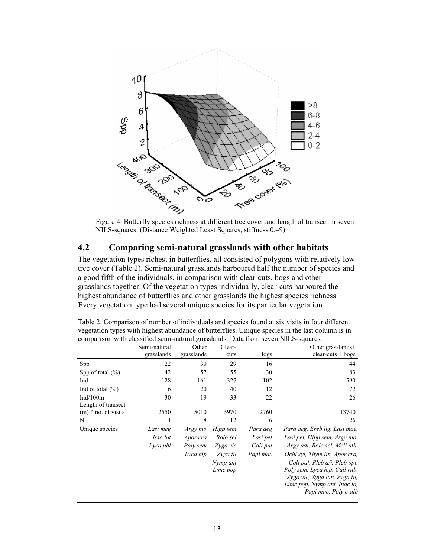

NILS-squares. (Distance Weighted Least Squares, stiffness 0.49)

#### **4.2 Comparing semi-natural grasslands with other habitats**

The vegetation types richest in butterflies, all consisted of polygons with relatively low tree cover (Table 2). Semi-natural grasslands harboured half the number of species and a good fifth of the individuals, in comparison with clear-cuts, bogs and other grasslands together. Of the vegetation types individually, clear-cuts harboured the highest abundance of butterflies and other grasslands the highest species richness. Every vegetation type had several unique species for its particular vegetation.

|                       | Semi-natural | Other      | Clear-   |             | Other grasslands+             |
|-----------------------|--------------|------------|----------|-------------|-------------------------------|
|                       | grasslands   | grasslands | cuts     | <b>Bogs</b> | $clear-cuts + bogs$           |
| Spp                   | 22           | 30         | 29       | 16          | 44                            |
| Spp of total $(\%)$   | 42           | 57         | 55       | 30          | 83                            |
| Ind                   | 128          | 161        | 327      | 102         | 590                           |
| Ind of total $(\% )$  | 16           | 20         | 40       | 12          | 72                            |
| Ind $/100m$           | 30           | 19         | 33       | 22          | 26                            |
| Length of transect    |              |            |          |             |                               |
| $(m)$ * no. of visits | 2550         | 5010       | 5970     | 2760        | 13740                         |
| N                     | 4            | 8          | 12       | 6           | 26                            |
| Unique species        | Lasi meg     | Argy nio   | Hipp sem | Para aeg    | Para aeg, Ereb lig, Lasi mae, |
|                       | Isso lat     | Apor cra   | Bolo sel | Lasi pet    | Lasi pet, Hipp sem, Argy nio, |
|                       | Lyca phl     | Poly sem   | Zyga vic | Coli pal    | Argy adi, Bolo sel, Meli ath, |
|                       |              | Lyca hip   | Zyga fil | Papi mac    | Ochl syl, Thym lin, Apor cra, |
|                       |              |            | Nymp ant |             | Coli pal, Pleb a/i, Pleb opt, |
|                       |              |            | Lime pop |             | Poly sem, Lyca hip, Call rub, |
|                       |              |            |          |             | Zyga vic, Zyga lon, Zyga fil, |
|                       |              |            |          |             | Lime pop, Nymp ant, Inac io,  |
|                       |              |            |          |             | Papi mac, Poly c-alb          |

Table 2. Comparison of number of individuals and species found at six visits in four different vegetation types with highest abundance of butterflies. Unique species in the last column is in comparison with classified semi-natural grasslands. Data from seven NILS-squares.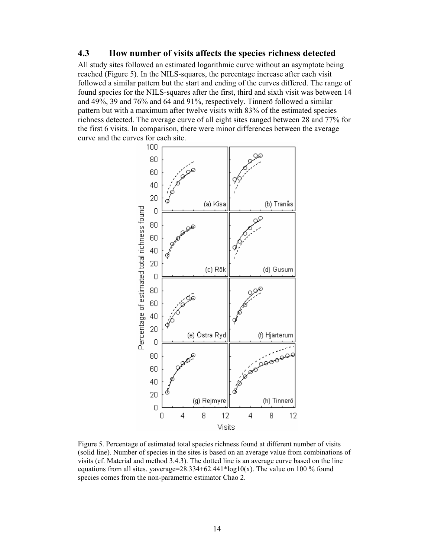#### **4.3 How number of visits affects the species richness detected**

All study sites followed an estimated logarithmic curve without an asymptote being reached (Figure 5). In the NILS-squares, the percentage increase after each visit followed a similar pattern but the start and ending of the curves differed. The range of found species for the NILS-squares after the first, third and sixth visit was between 14 and 49%, 39 and 76% and 64 and 91%, respectively. Tinnerö followed a similar pattern but with a maximum after twelve visits with 83% of the estimated species richness detected. The average curve of all eight sites ranged between 28 and 77% for the first 6 visits. In comparison, there were minor differences between the average curve and the curves for each site.



Figure 5. Percentage of estimated total species richness found at different number of visits (solid line). Number of species in the sites is based on an average value from combinations of visits (cf. Material and method 3.4.3). The dotted line is an average curve based on the line equations from all sites. yaverage=28.334+62.441\*log10(x). The value on 100 % found species comes from the non-parametric estimator Chao 2.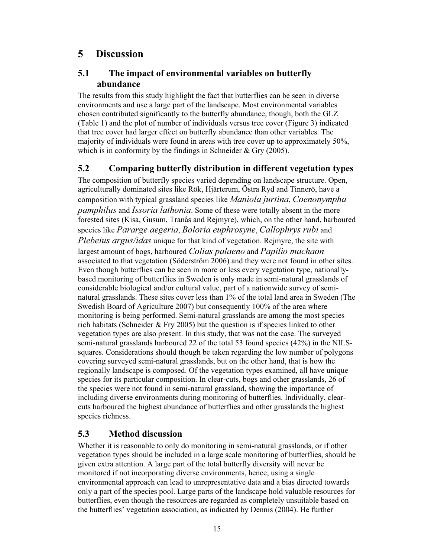## **5 Discussion**

#### **5.1 The impact of environmental variables on butterfly abundance**

The results from this study highlight the fact that butterflies can be seen in diverse environments and use a large part of the landscape. Most environmental variables chosen contributed significantly to the butterfly abundance, though, both the GLZ (Table 1) and the plot of number of individuals versus tree cover (Figure 3) indicated that tree cover had larger effect on butterfly abundance than other variables. The majority of individuals were found in areas with tree cover up to approximately 50%, which is in conformity by the findings in Schneider & Gry (2005).

#### **5.2 Comparing butterfly distribution in different vegetation types**

The composition of butterfly species varied depending on landscape structure. Open, agriculturally dominated sites like Rök, Hjärterum, Östra Ryd and Tinnerö, have a composition with typical grassland species like *Maniola jurtina*, *Coenonympha pamphilus* and *Issoria lathonia*. Some of these were totally absent in the more forested sites (Kisa, Gusum, Tranås and Rejmyre), which, on the other hand, harboured species like *Pararge aegeria*, *Boloria euphrosyne*, *Callophrys rubi* and *Plebeius argus/idas* unique for that kind of vegetation. Rejmyre, the site with largest amount of bogs, harboured *Colias palaeno* and *Papilio machaon* associated to that vegetation (Söderström 2006) and they were not found in other sites. Even though butterflies can be seen in more or less every vegetation type, nationallybased monitoring of butterflies in Sweden is only made in semi-natural grasslands of considerable biological and/or cultural value, part of a nationwide survey of seminatural grasslands. These sites cover less than 1% of the total land area in Sweden (The Swedish Board of Agriculture 2007) but consequently 100% of the area where monitoring is being performed. Semi-natural grasslands are among the most species rich habitats (Schneider  $&$  Fry 2005) but the question is if species linked to other vegetation types are also present. In this study, that was not the case. The surveyed semi-natural grasslands harboured 22 of the total 53 found species (42%) in the NILSsquares. Considerations should though be taken regarding the low number of polygons covering surveyed semi-natural grasslands, but on the other hand, that is how the regionally landscape is composed. Of the vegetation types examined, all have unique species for its particular composition. In clear-cuts, bogs and other grasslands, 26 of the species were not found in semi-natural grassland, showing the importance of including diverse environments during monitoring of butterflies. Individually, clearcuts harboured the highest abundance of butterflies and other grasslands the highest species richness.

#### **5.3 Method discussion**

Whether it is reasonable to only do monitoring in semi-natural grasslands, or if other vegetation types should be included in a large scale monitoring of butterflies, should be given extra attention. A large part of the total butterfly diversity will never be monitored if not incorporating diverse environments, hence, using a single environmental approach can lead to unrepresentative data and a bias directed towards only a part of the species pool. Large parts of the landscape hold valuable resources for butterflies, even though the resources are regarded as completely unsuitable based on the butterflies' vegetation association, as indicated by Dennis (2004). He further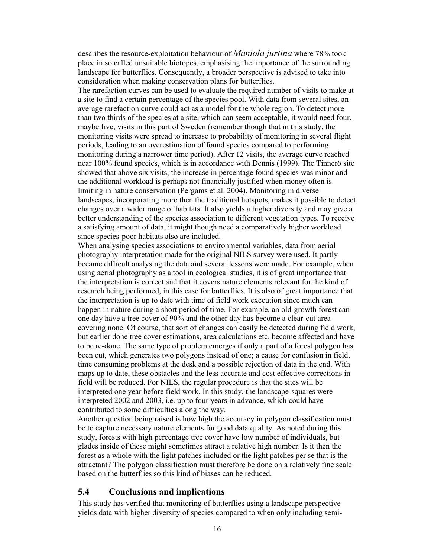describes the resource-exploitation behaviour of *Maniola jurtina* where 78% took place in so called unsuitable biotopes, emphasising the importance of the surrounding landscape for butterflies. Consequently, a broader perspective is advised to take into consideration when making conservation plans for butterflies.

The rarefaction curves can be used to evaluate the required number of visits to make at a site to find a certain percentage of the species pool. With data from several sites, an average rarefaction curve could act as a model for the whole region. To detect more than two thirds of the species at a site, which can seem acceptable, it would need four, maybe five, visits in this part of Sweden (remember though that in this study, the monitoring visits were spread to increase to probability of monitoring in several flight periods, leading to an overestimation of found species compared to performing monitoring during a narrower time period). After 12 visits, the average curve reached near 100% found species, which is in accordance with Dennis (1999). The Tinnerö site showed that above six visits, the increase in percentage found species was minor and the additional workload is perhaps not financially justified when money often is limiting in nature conservation (Pergams et al. 2004). Monitoring in diverse landscapes, incorporating more then the traditional hotspots, makes it possible to detect changes over a wider range of habitats. It also yields a higher diversity and may give a better understanding of the species association to different vegetation types. To receive a satisfying amount of data, it might though need a comparatively higher workload since species-poor habitats also are included.

When analysing species associations to environmental variables, data from aerial photography interpretation made for the original NILS survey were used. It partly became difficult analysing the data and several lessons were made. For example, when using aerial photography as a tool in ecological studies, it is of great importance that the interpretation is correct and that it covers nature elements relevant for the kind of research being performed, in this case for butterflies. It is also of great importance that the interpretation is up to date with time of field work execution since much can happen in nature during a short period of time. For example, an old-growth forest can one day have a tree cover of 90% and the other day has become a clear-cut area covering none. Of course, that sort of changes can easily be detected during field work, but earlier done tree cover estimations, area calculations etc. become affected and have to be re-done. The same type of problem emerges if only a part of a forest polygon has been cut, which generates two polygons instead of one; a cause for confusion in field, time consuming problems at the desk and a possible rejection of data in the end. With maps up to date, these obstacles and the less accurate and cost effective corrections in field will be reduced. For NILS, the regular procedure is that the sites will be interpreted one year before field work. In this study, the landscape-squares were interpreted 2002 and 2003, i.e. up to four years in advance, which could have contributed to some difficulties along the way.

Another question being raised is how high the accuracy in polygon classification must be to capture necessary nature elements for good data quality. As noted during this study, forests with high percentage tree cover have low number of individuals, but glades inside of these might sometimes attract a relative high number. Is it then the forest as a whole with the light patches included or the light patches per se that is the attractant? The polygon classification must therefore be done on a relatively fine scale based on the butterflies so this kind of biases can be reduced.

#### **5.4 Conclusions and implications**

This study has verified that monitoring of butterflies using a landscape perspective yields data with higher diversity of species compared to when only including semi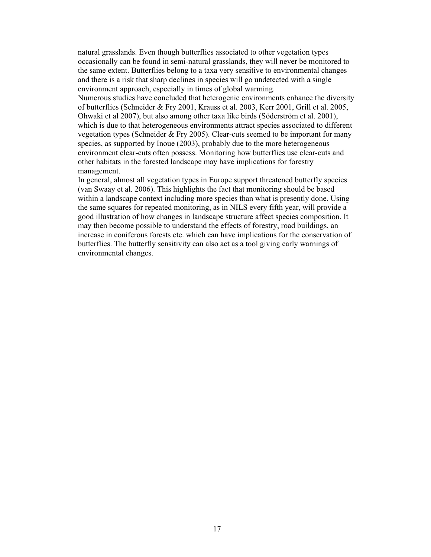natural grasslands. Even though butterflies associated to other vegetation types occasionally can be found in semi-natural grasslands, they will never be monitored to the same extent. Butterflies belong to a taxa very sensitive to environmental changes and there is a risk that sharp declines in species will go undetected with a single environment approach, especially in times of global warming.

Numerous studies have concluded that heterogenic environments enhance the diversity of butterflies (Schneider & Fry 2001, Krauss et al. 2003, Kerr 2001, Grill et al. 2005, Ohwaki et al 2007), but also among other taxa like birds (Söderström et al. 2001), which is due to that heterogeneous environments attract species associated to different vegetation types (Schneider & Fry 2005). Clear-cuts seemed to be important for many species, as supported by Inoue (2003), probably due to the more heterogeneous environment clear-cuts often possess. Monitoring how butterflies use clear-cuts and other habitats in the forested landscape may have implications for forestry management.

In general, almost all vegetation types in Europe support threatened butterfly species (van Swaay et al. 2006). This highlights the fact that monitoring should be based within a landscape context including more species than what is presently done. Using the same squares for repeated monitoring, as in NILS every fifth year, will provide a good illustration of how changes in landscape structure affect species composition. It may then become possible to understand the effects of forestry, road buildings, an increase in coniferous forests etc. which can have implications for the conservation of butterflies. The butterfly sensitivity can also act as a tool giving early warnings of environmental changes.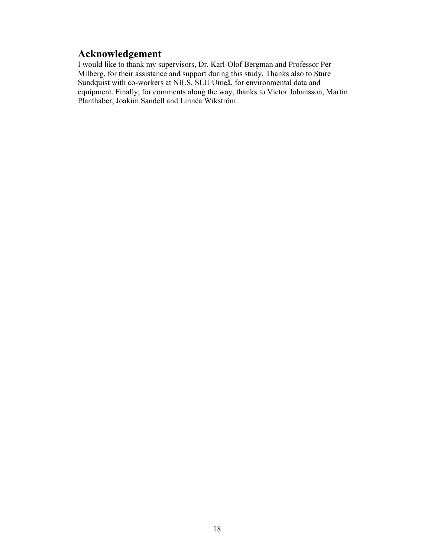#### **Acknowledgement**

I would like to thank my supervisors, Dr. Karl-Olof Bergman and Professor Per Milberg, for their assistance and support during this study. Thanks also to Sture Sundquist with co-workers at NILS, SLU Umeå, for environmental data and equipment. Finally, for comments along the way, thanks to Victor Johansson, Martin Planthaber, Joakim Sandell and Linnéa Wikström.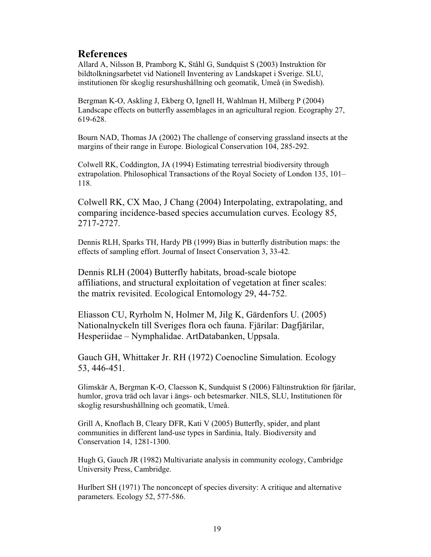#### **References**

Allard A, Nilsson B, Pramborg K, Ståhl G, Sundquist S (2003) Instruktion för bildtolkningsarbetet vid Nationell Inventering av Landskapet i Sverige. SLU, institutionen för skoglig resurshushållning och geomatik, Umeå (in Swedish).

Bergman K-O, Askling J, Ekberg O, Ignell H, Wahlman H, Milberg P (2004) Landscape effects on butterfly assemblages in an agricultural region. Ecography 27, 619-628.

Bourn NAD, Thomas JA (2002) The challenge of conserving grassland insects at the margins of their range in Europe. Biological Conservation 104, 285-292.

Colwell RK, Coddington, JA (1994) Estimating terrestrial biodiversity through extrapolation. Philosophical Transactions of the Royal Society of London 135, 101– 118.

Colwell RK, CX Mao, J Chang (2004) Interpolating, extrapolating, and comparing incidence-based species accumulation curves. Ecology 85, 2717-2727.

Dennis RLH, Sparks TH, Hardy PB (1999) Bias in butterfly distribution maps: the effects of sampling effort. Journal of Insect Conservation 3, 33-42.

Dennis RLH (2004) Butterfly habitats, broad-scale biotope affiliations, and structural exploitation of vegetation at finer scales: the matrix revisited. Ecological Entomology 29, 44-752.

Eliasson CU, Ryrholm N, Holmer M, Jilg K, Gärdenfors U. (2005) Nationalnyckeln till Sveriges flora och fauna. Fjärilar: Dagfjärilar, Hesperiidae – Nymphalidae. ArtDatabanken, Uppsala.

Gauch GH, Whittaker Jr. RH (1972) Coenocline Simulation. Ecology 53, 446-451.

Glimskär A, Bergman K-O, Claesson K, Sundquist S (2006) Fältinstruktion för fjärilar, humlor, grova träd och lavar i ängs- och betesmarker. NILS, SLU, Institutionen för skoglig resurshushållning och geomatik, Umeå.

Grill A, Knoflach B, Cleary DFR, Kati V (2005) Butterfly, spider, and plant communities in different land-use types in Sardinia, Italy. Biodiversity and Conservation 14, 1281-1300.

Hugh G, Gauch JR (1982) Multivariate analysis in community ecology, Cambridge University Press, Cambridge.

Hurlbert SH (1971) The nonconcept of species diversity: A critique and alternative parameters. Ecology 52, 577-586.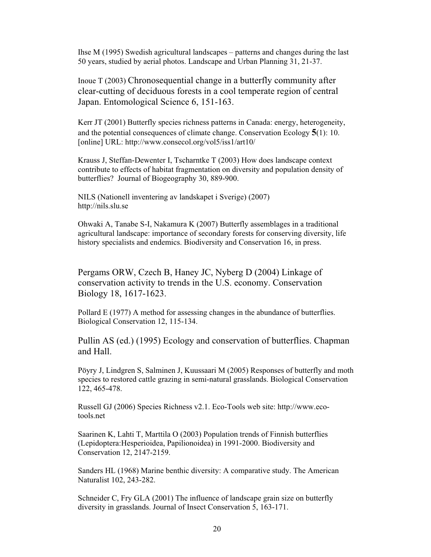Ihse M (1995) Swedish agricultural landscapes – patterns and changes during the last 50 years, studied by aerial photos. Landscape and Urban Planning 31, 21-37.

Inoue T (2003) Chronosequential change in a butterfly community after clear-cutting of deciduous forests in a cool temperate region of central Japan. Entomological Science 6, 151-163.

Kerr JT (2001) Butterfly species richness patterns in Canada: energy, heterogeneity, and the potential consequences of climate change. Conservation Ecology **5**(1): 10. [online] URL: http://www.consecol.org/vol5/iss1/art10/

Krauss J, Steffan-Dewenter I, Tscharntke T (2003) How does landscape context contribute to effects of habitat fragmentation on diversity and population density of butterflies? Journal of Biogeography 30, 889-900.

NILS (Nationell inventering av landskapet i Sverige) (2007) http://nils.slu.se

Ohwaki A, Tanabe S-I, Nakamura K (2007) Butterfly assemblages in a traditional agricultural landscape: importance of secondary forests for conserving diversity, life history specialists and endemics. Biodiversity and Conservation 16, in press.

Pergams ORW, Czech B, Haney JC, Nyberg D (2004) Linkage of conservation activity to trends in the U.S. economy. Conservation Biology 18, 1617-1623.

Pollard E (1977) A method for assessing changes in the abundance of butterflies. Biological Conservation 12, 115-134.

Pullin AS (ed.) (1995) Ecology and conservation of butterflies. Chapman and Hall.

Pöyry J, Lindgren S, Salminen J, Kuussaari M (2005) Responses of butterfly and moth species to restored cattle grazing in semi-natural grasslands. Biological Conservation 122, 465-478.

Russell GJ (2006) Species Richness v2.1. Eco-Tools web site: http://www.ecotools.net

Saarinen K, Lahti T, Marttila O (2003) Population trends of Finnish butterflies (Lepidoptera:Hesperioidea, Papilionoidea) in 1991-2000. Biodiversity and Conservation 12, 2147-2159.

Sanders HL (1968) Marine benthic diversity: A comparative study. The American Naturalist 102, 243-282.

Schneider C, Fry GLA (2001) The influence of landscape grain size on butterfly diversity in grasslands. Journal of Insect Conservation 5, 163-171.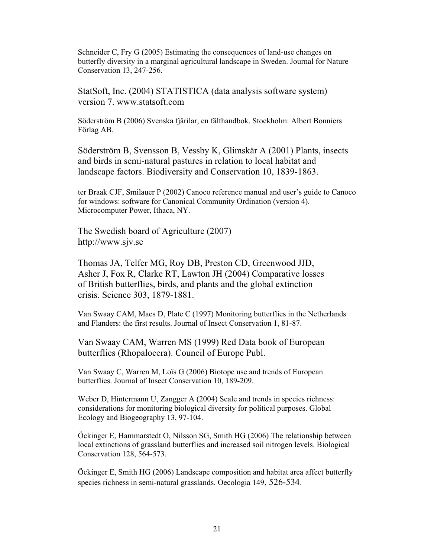Schneider C, Fry G (2005) Estimating the consequences of land-use changes on butterfly diversity in a marginal agricultural landscape in Sweden. Journal for Nature Conservation 13, 247-256.

StatSoft, Inc. (2004) STATISTICA (data analysis software system) version 7. www.statsoft.com

Söderström B (2006) Svenska fjärilar, en fälthandbok. Stockholm: Albert Bonniers Förlag AB.

Söderström B, Svensson B, Vessby K, Glimskär A (2001) Plants, insects and birds in semi-natural pastures in relation to local habitat and landscape factors. Biodiversity and Conservation 10, 1839-1863.

ter Braak CJF, Smilauer P (2002) Canoco reference manual and user's guide to Canoco for windows: software for Canonical Community Ordination (version 4). Microcomputer Power, Ithaca, NY.

The Swedish board of Agriculture (2007) http://www.sjv.se

Thomas JA, Telfer MG, Roy DB, Preston CD, Greenwood JJD, Asher J, Fox R, Clarke RT, Lawton JH (2004) Comparative losses of British butterflies, birds, and plants and the global extinction crisis. Science 303, 1879-1881.

Van Swaay CAM, Maes D, Plate C (1997) Monitoring butterflies in the Netherlands and Flanders: the first results. Journal of Insect Conservation 1, 81-87.

Van Swaay CAM, Warren MS (1999) Red Data book of European butterflies (Rhopalocera). Council of Europe Publ.

Van Swaay C, Warren M, Loïs G (2006) Biotope use and trends of European butterflies. Journal of Insect Conservation 10, 189-209.

Weber D, Hintermann U, Zangger A (2004) Scale and trends in species richness: considerations for monitoring biological diversity for political purposes. Global Ecology and Biogeography 13, 97-104.

Öckinger E, Hammarstedt O, Nilsson SG, Smith HG (2006) The relationship between local extinctions of grassland butterflies and increased soil nitrogen levels. Biological Conservation 128, 564-573.

Öckinger E, Smith HG (2006) Landscape composition and habitat area affect butterfly species richness in semi-natural grasslands. Oecologia 149, 526-534.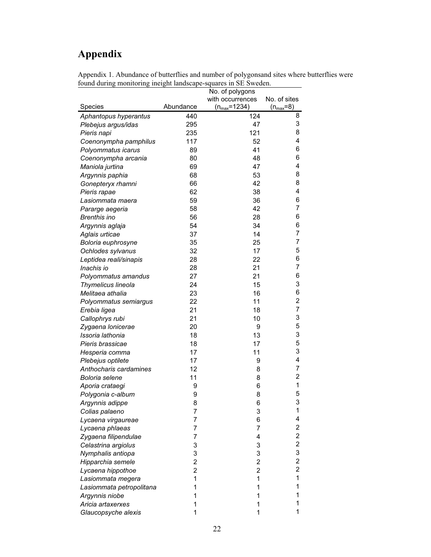# **Appendix**

| Appendix 1. Abundance of butterflies and number of polygons and sites where butterflies were |  |
|----------------------------------------------------------------------------------------------|--|
| found during monitoring ineight landscape-squares in SE Sweden.                              |  |

|                                   |                | No. of polygons    |                         |
|-----------------------------------|----------------|--------------------|-------------------------|
|                                   |                | with occurrences   | No. of sites            |
| Species                           | Abundance      | $(n_{max} = 1234)$ | $(n_{\text{max}}=8)$    |
| Aphantopus hyperantus             | 440            | 124                | 8                       |
| Plebejus argus/idas               | 295            | 47                 | 3                       |
| Pieris napi                       | 235            | 121                | 8                       |
| Coenonympha pamphilus             | 117            | 52                 | 4                       |
| Polyommatus icarus                | 89             | 41                 | 6                       |
| Coenonympha arcania               | 80             | 48                 | 6                       |
| Maniola jurtina                   | 69             | 47                 | 4                       |
| Argynnis paphia                   | 68             | 53                 | 8                       |
| Gonepteryx rhamni                 | 66             | 42                 | 8                       |
| Pieris rapae                      | 62             | 38                 | 4                       |
| Lasiommata maera                  | 59             | 36                 | 6                       |
| Pararge aegeria                   | 58             | 42                 | 7                       |
| <b>Brenthis ino</b>               | 56             | 28                 | 6                       |
| Argynnis aglaja                   | 54             | 34                 | 6                       |
| Aglais urticae                    | 37             | 14                 | 7                       |
| Boloria euphrosyne                | 35             | 25                 | 7                       |
| Ochlodes sylvanus                 | 32             | 17                 | 5                       |
| Leptidea reali/sinapis            | 28             | 22                 | 6                       |
| Inachis io                        | 28             | 21                 | 7                       |
| Polyommatus amandus               | 27             | 21                 | 6                       |
| Thymelicus lineola                | 24             | 15                 | 3                       |
| Melitaea athalia                  | 23             | 16                 | 6                       |
| Polyommatus semiargus             | 22             | 11                 | $\overline{c}$          |
| Erebia ligea                      | 21             | 18                 | 7                       |
| Callophrys rubi                   | 21             | 10                 | 3                       |
| Zygaena lonicerae                 | 20             | 9                  | 5                       |
| Issoria lathonia                  | 18             | 13                 | 3                       |
| Pieris brassicae                  | 18             | 17                 | 5                       |
| Hesperia comma                    | 17             | 11                 | 3                       |
| Plebejus optilete                 | 17             | 9                  | 4                       |
| Anthocharis cardamines            | 12             | 8                  | 7                       |
| Boloria selene                    | 11             | 8                  | $\overline{c}$          |
| Aporia crataegi                   | 9              | 6                  | 1                       |
| Polygonia c-album                 | 9              | 8                  | 5                       |
|                                   | 8              | 6                  | 3                       |
| Argynnis adippe<br>Colias palaeno | 7              | 3                  | 1                       |
|                                   | 7              | 6                  | 4                       |
| Lycaena virgaureae                |                | 7                  | 2                       |
| Lycaena phlaeas                   | 7              | 4                  | $\overline{c}$          |
| Zygaena filipendulae              | 7              |                    | $\overline{\mathbf{c}}$ |
| Celastrina argiolus               | 3              | 3                  | 3                       |
| Nymphalis antiopa                 | 3              | 3                  | $\overline{c}$          |
| Hipparchia semele                 | 2              | $\overline{c}$     | $\overline{c}$          |
| Lycaena hippothoe                 | $\overline{c}$ | 2                  | 1                       |
| Lasiommata megera                 | 1              | 1                  |                         |
| Lasiommata petropolitana          | 1              | 1                  | 1                       |
| Argynnis niobe                    |                | 1                  | 1                       |
| Aricia artaxerxes                 |                | 1                  | 1                       |
| Glaucopsyche alexis               | 1              | 1                  | 1                       |